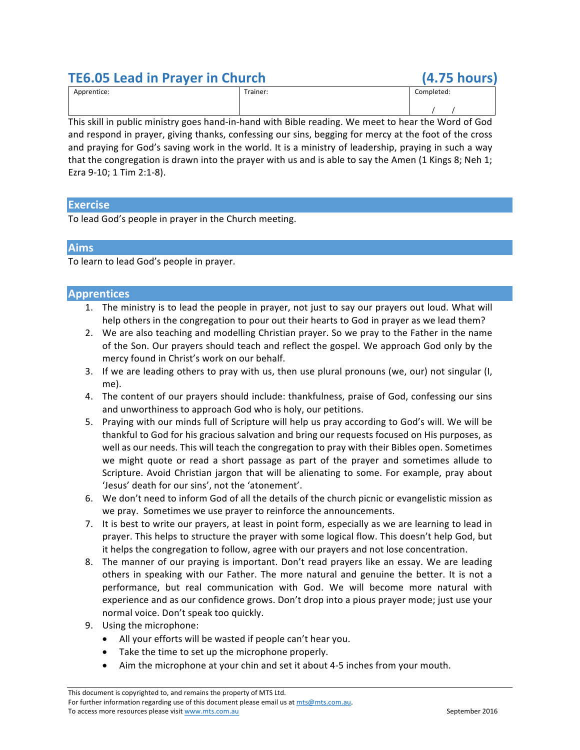# **TE6.05 Lead in Prayer in Church (4.75 hours)**

| Apprentice: | Trainer: | Completed: |
|-------------|----------|------------|
|             |          |            |

This skill in public ministry goes hand-in-hand with Bible reading. We meet to hear the Word of God and respond in prayer, giving thanks, confessing our sins, begging for mercy at the foot of the cross and praying for God's saving work in the world. It is a ministry of leadership, praying in such a way that the congregation is drawn into the prayer with us and is able to say the Amen (1 Kings 8; Neh 1; Ezra 9-10; 1 Tim 2:1-8).

## **Exercise**

To lead God's people in prayer in the Church meeting.

### **Aims**

To learn to lead God's people in prayer.

### **Apprentices**

- 1. The ministry is to lead the people in prayer, not just to say our prayers out loud. What will help others in the congregation to pour out their hearts to God in prayer as we lead them?
- 2. We are also teaching and modelling Christian prayer. So we pray to the Father in the name of the Son. Our prayers should teach and reflect the gospel. We approach God only by the mercy found in Christ's work on our behalf.
- 3. If we are leading others to pray with us, then use plural pronouns (we, our) not singular (I, me).
- 4. The content of our prayers should include: thankfulness, praise of God, confessing our sins and unworthiness to approach God who is holy, our petitions.
- 5. Praying with our minds full of Scripture will help us pray according to God's will. We will be thankful to God for his gracious salvation and bring our requests focused on His purposes, as well as our needs. This will teach the congregation to pray with their Bibles open. Sometimes we might quote or read a short passage as part of the prayer and sometimes allude to Scripture. Avoid Christian jargon that will be alienating to some. For example, pray about 'Jesus' death for our sins', not the 'atonement'.
- 6. We don't need to inform God of all the details of the church picnic or evangelistic mission as we pray. Sometimes we use prayer to reinforce the announcements.
- 7. It is best to write our prayers, at least in point form, especially as we are learning to lead in prayer. This helps to structure the prayer with some logical flow. This doesn't help God, but it helps the congregation to follow, agree with our prayers and not lose concentration.
- 8. The manner of our praying is important. Don't read prayers like an essay. We are leading others in speaking with our Father. The more natural and genuine the better. It is not a performance, but real communication with God. We will become more natural with experience and as our confidence grows. Don't drop into a pious prayer mode; just use your normal voice. Don't speak too quickly.
- 9. Using the microphone:
	- All your efforts will be wasted if people can't hear you.
	- $\bullet$  Take the time to set up the microphone properly.
	- Aim the microphone at your chin and set it about 4-5 inches from your mouth.